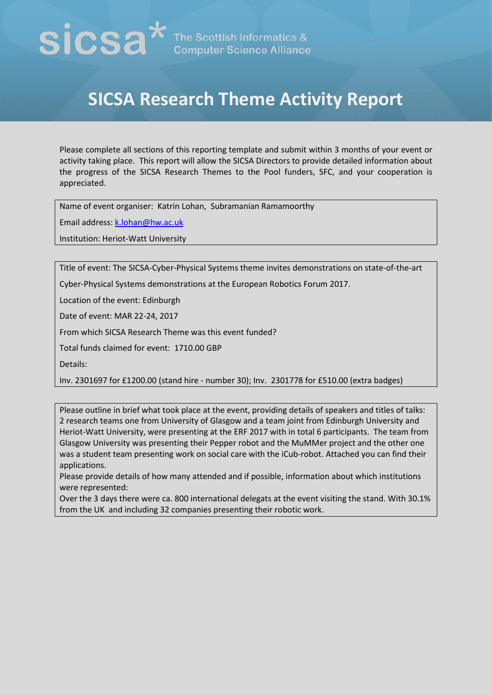## $\mathbf{SICSA}^{\star}$  The Scottish Informatics &

## **SICSA Research Theme Activity Report**

Please complete all sections of this reporting template and submit within 3 months of your event or activity taking place. This report will allow the SICSA Directors to provide detailed information about the progress of the SICSA Research Themes to the Pool funders, SFC, and your cooperation is appreciated.

Name of event organiser: Katrin Lohan, Subramanian Ramamoorthy

Email address: [k.lohan@hw.ac.uk](mailto:k.lohan@hw.ac.uk)

Institution: Heriot-Watt University

Title of event: The SICSA-Cyber-Physical Systems theme invites demonstrations on state-of-the-art

Cyber-Physical Systems demonstrations at the European Robotics Forum 2017.

Location of the event: Edinburgh

Date of event: MAR 22-24, 2017

From which SICSA Research Theme was this event funded?

Total funds claimed for event: 1710.00 GBP

Details:

Inv. 2301697 for £1200.00 (stand hire - number 30); Inv. 2301778 for £510.00 (extra badges)

Please outline in brief what took place at the event, providing details of speakers and titles of talks: 2 research teams one from University of Glasgow and a team joint from Edinburgh University and Heriot-Watt University, were presenting at the ERF 2017 with in total 6 participants. The team from Glasgow University was presenting their Pepper robot and the MuMMer project and the other one was a student team presenting work on social care with the iCub-robot. Attached you can find their applications.

Please provide details of how many attended and if possible, information about which institutions were represented:

Over the 3 days there were ca. 800 international delegats at the event visiting the stand. With 30.1% from the UK and including 32 companies presenting their robotic work.